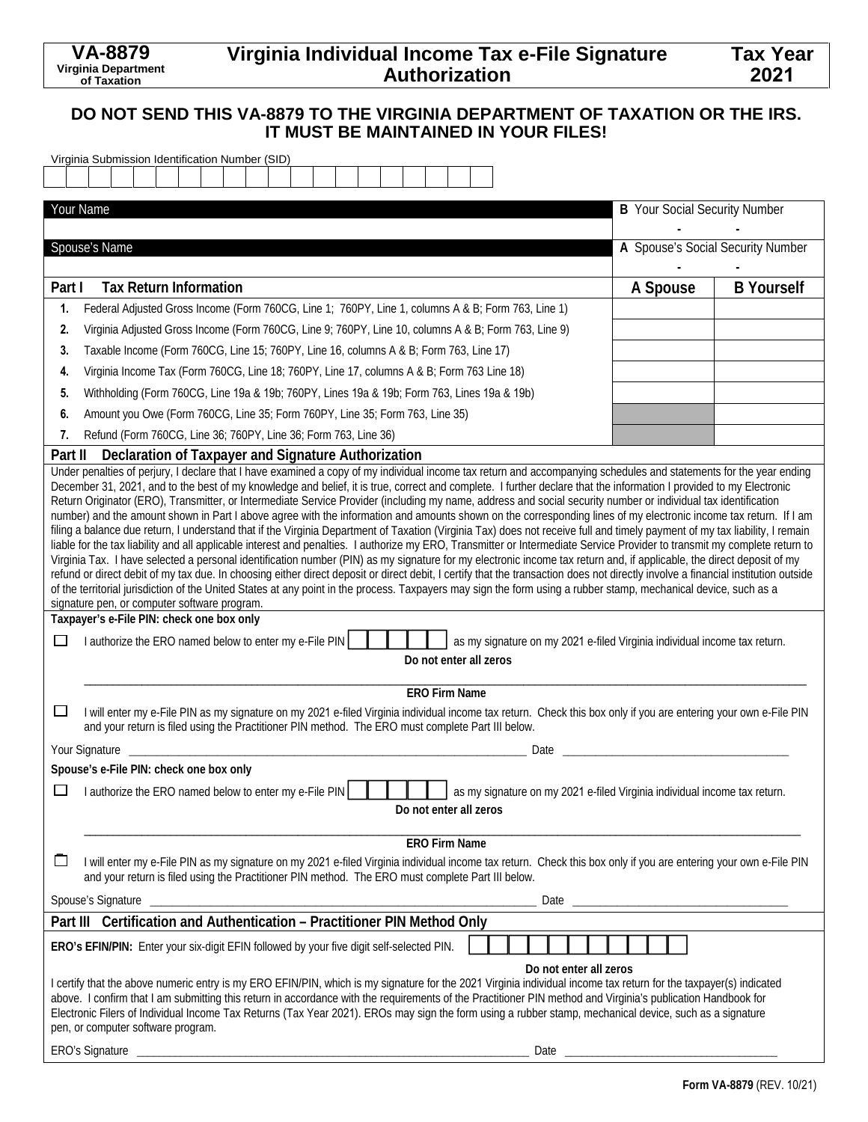# **Virginia Individual Income Tax e-File Signature Authorization**

### **DO NOT SEND THIS VA-8879 TO THE VIRGINIA DEPARTMENT OF TAXATION OR THE IRS. IT MUST BE MAINTAINED IN YOUR FILES!**

| Virginia Submission Identification Number (SID)                                                                                                                                                                                                                                                                                                                                                                                                                                                                                                                                                                                                                                                                                                                                                                                                                                                                                                                                                                                                                                                                                                                                                                                                                                                                                                                                                                                                                                                                                                                                                                                                                                                                                                                                                                                                                           |                                      |                   |  |
|---------------------------------------------------------------------------------------------------------------------------------------------------------------------------------------------------------------------------------------------------------------------------------------------------------------------------------------------------------------------------------------------------------------------------------------------------------------------------------------------------------------------------------------------------------------------------------------------------------------------------------------------------------------------------------------------------------------------------------------------------------------------------------------------------------------------------------------------------------------------------------------------------------------------------------------------------------------------------------------------------------------------------------------------------------------------------------------------------------------------------------------------------------------------------------------------------------------------------------------------------------------------------------------------------------------------------------------------------------------------------------------------------------------------------------------------------------------------------------------------------------------------------------------------------------------------------------------------------------------------------------------------------------------------------------------------------------------------------------------------------------------------------------------------------------------------------------------------------------------------------|--------------------------------------|-------------------|--|
|                                                                                                                                                                                                                                                                                                                                                                                                                                                                                                                                                                                                                                                                                                                                                                                                                                                                                                                                                                                                                                                                                                                                                                                                                                                                                                                                                                                                                                                                                                                                                                                                                                                                                                                                                                                                                                                                           |                                      |                   |  |
| Your Name                                                                                                                                                                                                                                                                                                                                                                                                                                                                                                                                                                                                                                                                                                                                                                                                                                                                                                                                                                                                                                                                                                                                                                                                                                                                                                                                                                                                                                                                                                                                                                                                                                                                                                                                                                                                                                                                 | <b>B</b> Your Social Security Number |                   |  |
|                                                                                                                                                                                                                                                                                                                                                                                                                                                                                                                                                                                                                                                                                                                                                                                                                                                                                                                                                                                                                                                                                                                                                                                                                                                                                                                                                                                                                                                                                                                                                                                                                                                                                                                                                                                                                                                                           |                                      |                   |  |
| Spouse's Name                                                                                                                                                                                                                                                                                                                                                                                                                                                                                                                                                                                                                                                                                                                                                                                                                                                                                                                                                                                                                                                                                                                                                                                                                                                                                                                                                                                                                                                                                                                                                                                                                                                                                                                                                                                                                                                             | A Spouse's Social Security Number    |                   |  |
|                                                                                                                                                                                                                                                                                                                                                                                                                                                                                                                                                                                                                                                                                                                                                                                                                                                                                                                                                                                                                                                                                                                                                                                                                                                                                                                                                                                                                                                                                                                                                                                                                                                                                                                                                                                                                                                                           |                                      |                   |  |
| <b>Tax Return Information</b><br>Part I                                                                                                                                                                                                                                                                                                                                                                                                                                                                                                                                                                                                                                                                                                                                                                                                                                                                                                                                                                                                                                                                                                                                                                                                                                                                                                                                                                                                                                                                                                                                                                                                                                                                                                                                                                                                                                   | A Spouse                             | <b>B</b> Yourself |  |
| Federal Adjusted Gross Income (Form 760CG, Line 1; 760PY, Line 1, columns A & B; Form 763, Line 1)<br>1.                                                                                                                                                                                                                                                                                                                                                                                                                                                                                                                                                                                                                                                                                                                                                                                                                                                                                                                                                                                                                                                                                                                                                                                                                                                                                                                                                                                                                                                                                                                                                                                                                                                                                                                                                                  |                                      |                   |  |
| Virginia Adjusted Gross Income (Form 760CG, Line 9; 760PY, Line 10, columns A & B; Form 763, Line 9)<br>2.                                                                                                                                                                                                                                                                                                                                                                                                                                                                                                                                                                                                                                                                                                                                                                                                                                                                                                                                                                                                                                                                                                                                                                                                                                                                                                                                                                                                                                                                                                                                                                                                                                                                                                                                                                |                                      |                   |  |
| Taxable Income (Form 760CG, Line 15; 760PY, Line 16, columns A & B; Form 763, Line 17)<br>3.                                                                                                                                                                                                                                                                                                                                                                                                                                                                                                                                                                                                                                                                                                                                                                                                                                                                                                                                                                                                                                                                                                                                                                                                                                                                                                                                                                                                                                                                                                                                                                                                                                                                                                                                                                              |                                      |                   |  |
| Virginia Income Tax (Form 760CG, Line 18; 760PY, Line 17, columns A & B; Form 763 Line 18)<br>4.                                                                                                                                                                                                                                                                                                                                                                                                                                                                                                                                                                                                                                                                                                                                                                                                                                                                                                                                                                                                                                                                                                                                                                                                                                                                                                                                                                                                                                                                                                                                                                                                                                                                                                                                                                          |                                      |                   |  |
| Withholding (Form 760CG, Line 19a & 19b; 760PY, Lines 19a & 19b; Form 763, Lines 19a & 19b)<br>5.                                                                                                                                                                                                                                                                                                                                                                                                                                                                                                                                                                                                                                                                                                                                                                                                                                                                                                                                                                                                                                                                                                                                                                                                                                                                                                                                                                                                                                                                                                                                                                                                                                                                                                                                                                         |                                      |                   |  |
| Amount you Owe (Form 760CG, Line 35; Form 760PY, Line 35; Form 763, Line 35)<br>6.                                                                                                                                                                                                                                                                                                                                                                                                                                                                                                                                                                                                                                                                                                                                                                                                                                                                                                                                                                                                                                                                                                                                                                                                                                                                                                                                                                                                                                                                                                                                                                                                                                                                                                                                                                                        |                                      |                   |  |
| Refund (Form 760CG, Line 36; 760PY, Line 36; Form 763, Line 36)<br>7.                                                                                                                                                                                                                                                                                                                                                                                                                                                                                                                                                                                                                                                                                                                                                                                                                                                                                                                                                                                                                                                                                                                                                                                                                                                                                                                                                                                                                                                                                                                                                                                                                                                                                                                                                                                                     |                                      |                   |  |
| Declaration of Taxpayer and Signature Authorization<br>Part II                                                                                                                                                                                                                                                                                                                                                                                                                                                                                                                                                                                                                                                                                                                                                                                                                                                                                                                                                                                                                                                                                                                                                                                                                                                                                                                                                                                                                                                                                                                                                                                                                                                                                                                                                                                                            |                                      |                   |  |
| Under penalties of perjury, I declare that I have examined a copy of my individual income tax return and accompanying schedules and statements for the year ending<br>December 31, 2021, and to the best of my knowledge and belief, it is true, correct and complete. I further declare that the information I provided to my Electronic<br>Return Originator (ERO), Transmitter, or Intermediate Service Provider (including my name, address and social security number or individual tax identification<br>number) and the amount shown in Part I above agree with the information and amounts shown on the corresponding lines of my electronic income tax return. If I am<br>filing a balance due return, I understand that if the Virginia Department of Taxation (Virginia Tax) does not receive full and timely payment of my tax liability, I remain<br>liable for the tax liability and all applicable interest and penalties. I authorize my ERO, Transmitter or Intermediate Service Provider to transmit my complete return to<br>Virginia Tax. I have selected a personal identification number (PIN) as my signature for my electronic income tax return and, if applicable, the direct deposit of my<br>refund or direct debit of my tax due. In choosing either direct deposit or direct debit, I certify that the transaction does not directly involve a financial institution outside<br>of the territorial jurisdiction of the United States at any point in the process. Taxpayers may sign the form using a rubber stamp, mechanical device, such as a<br>signature pen, or computer software program.<br>Taxpayer's e-File PIN: check one box only<br>I authorize the ERO named below to enter my e-File PIN<br>as my signature on my 2021 e-filed Virginia individual income tax return.<br>ப<br>Do not enter all zeros<br><b>ERO Firm Name</b> |                                      |                   |  |
| I will enter my e-File PIN as my signature on my 2021 e-filed Virginia individual income tax return. Check this box only if you are entering your own e-File PIN<br>$\overline{\phantom{a}}$<br>and your return is filed using the Practitioner PIN method. The ERO must complete Part III below.                                                                                                                                                                                                                                                                                                                                                                                                                                                                                                                                                                                                                                                                                                                                                                                                                                                                                                                                                                                                                                                                                                                                                                                                                                                                                                                                                                                                                                                                                                                                                                         |                                      |                   |  |
| Your Signature<br>Date                                                                                                                                                                                                                                                                                                                                                                                                                                                                                                                                                                                                                                                                                                                                                                                                                                                                                                                                                                                                                                                                                                                                                                                                                                                                                                                                                                                                                                                                                                                                                                                                                                                                                                                                                                                                                                                    |                                      |                   |  |
| Spouse's e-File PIN: check one box only                                                                                                                                                                                                                                                                                                                                                                                                                                                                                                                                                                                                                                                                                                                                                                                                                                                                                                                                                                                                                                                                                                                                                                                                                                                                                                                                                                                                                                                                                                                                                                                                                                                                                                                                                                                                                                   |                                      |                   |  |
| I authorize the ERO named below to enter my e-File PIN<br>as my signature on my 2021 e-filed Virginia individual income tax return.<br>Do not enter all zeros                                                                                                                                                                                                                                                                                                                                                                                                                                                                                                                                                                                                                                                                                                                                                                                                                                                                                                                                                                                                                                                                                                                                                                                                                                                                                                                                                                                                                                                                                                                                                                                                                                                                                                             |                                      |                   |  |
| <b>ERO Firm Name</b>                                                                                                                                                                                                                                                                                                                                                                                                                                                                                                                                                                                                                                                                                                                                                                                                                                                                                                                                                                                                                                                                                                                                                                                                                                                                                                                                                                                                                                                                                                                                                                                                                                                                                                                                                                                                                                                      |                                      |                   |  |
| ப<br>I will enter my e-File PIN as my signature on my 2021 e-filed Virginia individual income tax return. Check this box only if you are entering your own e-File PIN<br>and your return is filed using the Practitioner PIN method. The ERO must complete Part III below.                                                                                                                                                                                                                                                                                                                                                                                                                                                                                                                                                                                                                                                                                                                                                                                                                                                                                                                                                                                                                                                                                                                                                                                                                                                                                                                                                                                                                                                                                                                                                                                                |                                      |                   |  |
|                                                                                                                                                                                                                                                                                                                                                                                                                                                                                                                                                                                                                                                                                                                                                                                                                                                                                                                                                                                                                                                                                                                                                                                                                                                                                                                                                                                                                                                                                                                                                                                                                                                                                                                                                                                                                                                                           |                                      |                   |  |
| Part III Certification and Authentication - Practitioner PIN Method Only                                                                                                                                                                                                                                                                                                                                                                                                                                                                                                                                                                                                                                                                                                                                                                                                                                                                                                                                                                                                                                                                                                                                                                                                                                                                                                                                                                                                                                                                                                                                                                                                                                                                                                                                                                                                  |                                      |                   |  |
| ERO's EFIN/PIN: Enter your six-digit EFIN followed by your five digit self-selected PIN.                                                                                                                                                                                                                                                                                                                                                                                                                                                                                                                                                                                                                                                                                                                                                                                                                                                                                                                                                                                                                                                                                                                                                                                                                                                                                                                                                                                                                                                                                                                                                                                                                                                                                                                                                                                  |                                      |                   |  |
| Do not enter all zeros<br>I certify that the above numeric entry is my ERO EFIN/PIN, which is my signature for the 2021 Virginia individual income tax return for the taxpayer(s) indicated<br>above. I confirm that I am submitting this return in accordance with the requirements of the Practitioner PIN method and Virginia's publication Handbook for<br>Electronic Filers of Individual Income Tax Returns (Tax Year 2021). EROs may sign the form using a rubber stamp, mechanical device, such as a signature<br>pen, or computer software program.                                                                                                                                                                                                                                                                                                                                                                                                                                                                                                                                                                                                                                                                                                                                                                                                                                                                                                                                                                                                                                                                                                                                                                                                                                                                                                              |                                      |                   |  |
| ERO's Signature <u>experience</u>                                                                                                                                                                                                                                                                                                                                                                                                                                                                                                                                                                                                                                                                                                                                                                                                                                                                                                                                                                                                                                                                                                                                                                                                                                                                                                                                                                                                                                                                                                                                                                                                                                                                                                                                                                                                                                         |                                      |                   |  |